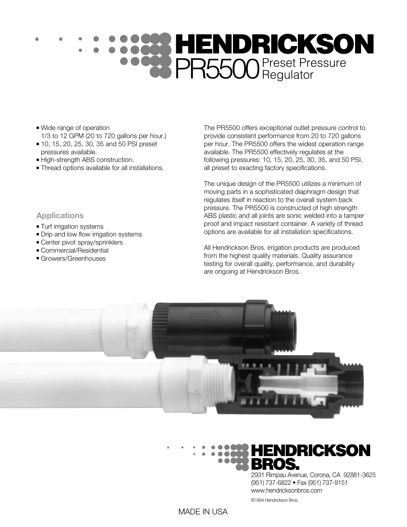# PR5500 Preset Pressure

- Wide range of operation 1/3 to 12 GPM (20 to 720 gallons per hour.)
- 10, 15, 20, 25, 30, 35 and 50 PSI preset pressures available.
- High-strength ABS construction.
- Thread options available for all installations.

The PR5500 offers exceptional outlet pressure control to provide consistent performance from 20 to 720 gallons per hour. The PR5500 offers the widest operation range available. The PR5500 effectively regulates at the following pressures: 10, 15, 20, 25, 30, 35, and 50 PSI, all preset to exacting factory specifications.

The unique design of the PR5500 utilizes a minimum of moving parts in a sophisticated diaphragm design that regulates itself in reaction to the overall system back pressure. The PR5500 is constructed of high strength ABS plastic and all joints are sonic welded into a tamper proof and impact resistant container. A variety of thread options are available for all installation specifications.

All Hendrickson Bros. irrigation products are produced from the highest quality materials. Quality assurance testing for overall quality, performance, and durability are ongoing at Hendrickson Bros.





2931 Rimpau Avenue, Corona, CA 92881-3625 (951) 737-6822 • Fax (951) 737-9151 www.hendricksonbros.com

©1994 Hendrickson Bros.

## **Applications**

- Turf irrigation systems
- Drip and low flow irrigation systems
- Center pivot spray/sprinklers
- Commercial/Residential
- Growers/Greenhouses

MADE IN USA